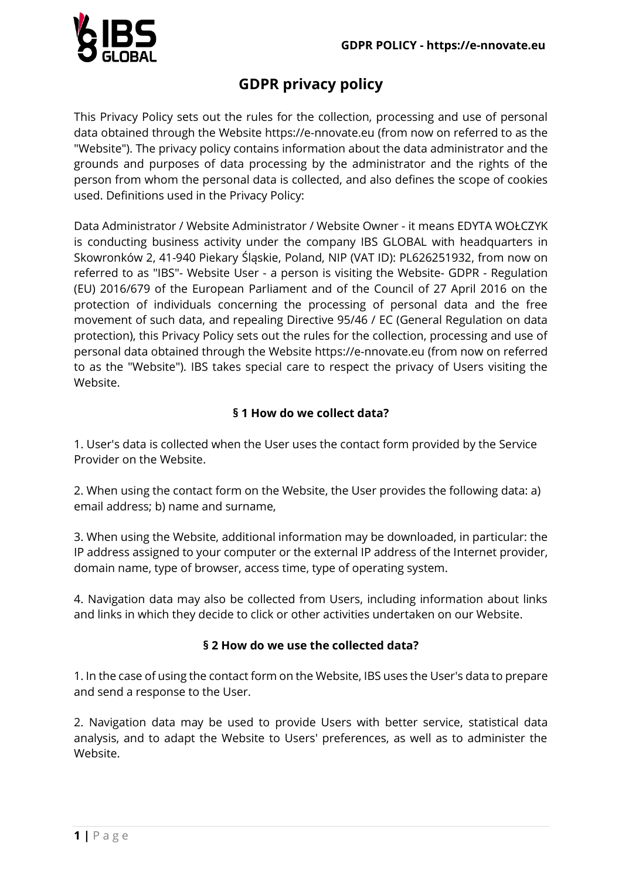

# **GDPR privacy policy**

This Privacy Policy sets out the rules for the collection, processing and use of personal data obtained through the Website https://e-nnovate.eu (from now on referred to as the "Website"). The privacy policy contains information about the data administrator and the grounds and purposes of data processing by the administrator and the rights of the person from whom the personal data is collected, and also defines the scope of cookies used. Definitions used in the Privacy Policy:

Data Administrator / Website Administrator / Website Owner - it means EDYTA WOŁCZYK is conducting business activity under the company IBS GLOBAL with headquarters in Skowronków 2, 41-940 Piekary Śląskie, Poland, NIP (VAT ID): PL626251932, from now on referred to as "IBS"- Website User - a person is visiting the Website- GDPR - Regulation (EU) 2016/679 of the European Parliament and of the Council of 27 April 2016 on the protection of individuals concerning the processing of personal data and the free movement of such data, and repealing Directive 95/46 / EC (General Regulation on data protection), this Privacy Policy sets out the rules for the collection, processing and use of personal data obtained through the Website https://e-nnovate.eu (from now on referred to as the "Website"). IBS takes special care to respect the privacy of Users visiting the Website.

## **§ 1 How do we collect data?**

1. User's data is collected when the User uses the contact form provided by the Service Provider on the Website.

2. When using the contact form on the Website, the User provides the following data: a) email address; b) name and surname,

3. When using the Website, additional information may be downloaded, in particular: the IP address assigned to your computer or the external IP address of the Internet provider, domain name, type of browser, access time, type of operating system.

4. Navigation data may also be collected from Users, including information about links and links in which they decide to click or other activities undertaken on our Website.

#### **§ 2 How do we use the collected data?**

1. In the case of using the contact form on the Website, IBS uses the User's data to prepare and send a response to the User.

2. Navigation data may be used to provide Users with better service, statistical data analysis, and to adapt the Website to Users' preferences, as well as to administer the Website.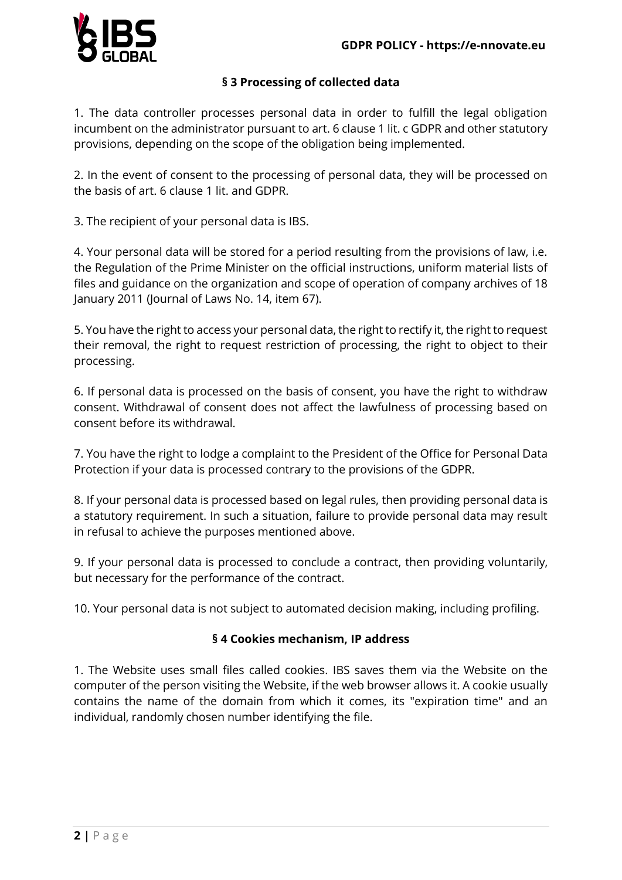

#### **§ 3 Processing of collected data**

1. The data controller processes personal data in order to fulfill the legal obligation incumbent on the administrator pursuant to art. 6 clause 1 lit. c GDPR and other statutory provisions, depending on the scope of the obligation being implemented.

2. In the event of consent to the processing of personal data, they will be processed on the basis of art. 6 clause 1 lit. and GDPR.

3. The recipient of your personal data is IBS.

4. Your personal data will be stored for a period resulting from the provisions of law, i.e. the Regulation of the Prime Minister on the official instructions, uniform material lists of files and guidance on the organization and scope of operation of company archives of 18 January 2011 (Journal of Laws No. 14, item 67).

5. You have the right to access your personal data, the right to rectify it, the right to request their removal, the right to request restriction of processing, the right to object to their processing.

6. If personal data is processed on the basis of consent, you have the right to withdraw consent. Withdrawal of consent does not affect the lawfulness of processing based on consent before its withdrawal.

7. You have the right to lodge a complaint to the President of the Office for Personal Data Protection if your data is processed contrary to the provisions of the GDPR.

8. If your personal data is processed based on legal rules, then providing personal data is a statutory requirement. In such a situation, failure to provide personal data may result in refusal to achieve the purposes mentioned above.

9. If your personal data is processed to conclude a contract, then providing voluntarily, but necessary for the performance of the contract.

10. Your personal data is not subject to automated decision making, including profiling.

#### **§ 4 Cookies mechanism, IP address**

1. The Website uses small files called cookies. IBS saves them via the Website on the computer of the person visiting the Website, if the web browser allows it. A cookie usually contains the name of the domain from which it comes, its "expiration time" and an individual, randomly chosen number identifying the file.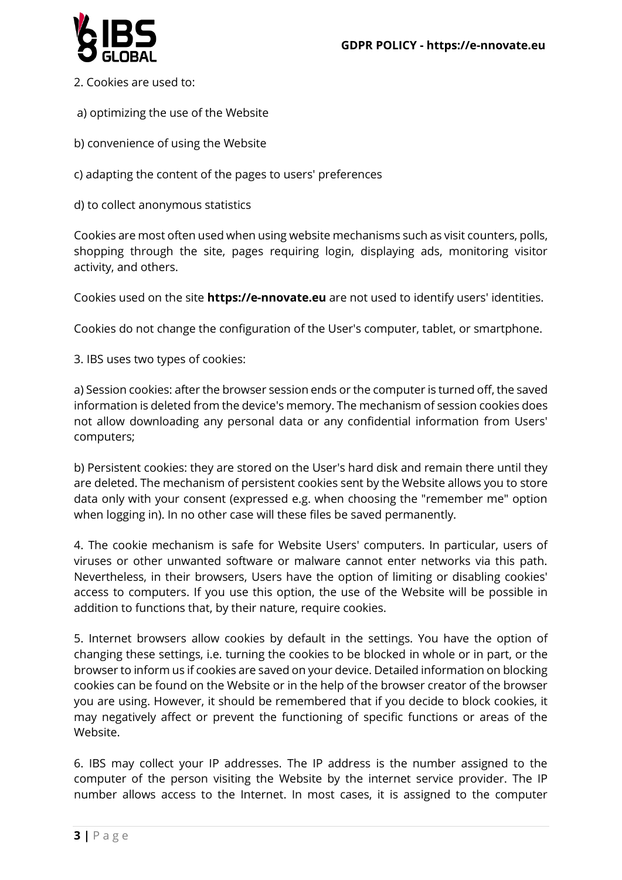

- 2. Cookies are used to:
- a) optimizing the use of the Website
- b) convenience of using the Website
- c) adapting the content of the pages to users' preferences
- d) to collect anonymous statistics

Cookies are most often used when using website mechanisms such as visit counters, polls, shopping through the site, pages requiring login, displaying ads, monitoring visitor activity, and others.

Cookies used on the site **https://e-nnovate.eu** are not used to identify users' identities.

Cookies do not change the configuration of the User's computer, tablet, or smartphone.

3. IBS uses two types of cookies:

a) Session cookies: after the browser session ends or the computer is turned off, the saved information is deleted from the device's memory. The mechanism of session cookies does not allow downloading any personal data or any confidential information from Users' computers;

b) Persistent cookies: they are stored on the User's hard disk and remain there until they are deleted. The mechanism of persistent cookies sent by the Website allows you to store data only with your consent (expressed e.g. when choosing the "remember me" option when logging in). In no other case will these files be saved permanently.

4. The cookie mechanism is safe for Website Users' computers. In particular, users of viruses or other unwanted software or malware cannot enter networks via this path. Nevertheless, in their browsers, Users have the option of limiting or disabling cookies' access to computers. If you use this option, the use of the Website will be possible in addition to functions that, by their nature, require cookies.

5. Internet browsers allow cookies by default in the settings. You have the option of changing these settings, i.e. turning the cookies to be blocked in whole or in part, or the browser to inform us if cookies are saved on your device. Detailed information on blocking cookies can be found on the Website or in the help of the browser creator of the browser you are using. However, it should be remembered that if you decide to block cookies, it may negatively affect or prevent the functioning of specific functions or areas of the Website.

6. IBS may collect your IP addresses. The IP address is the number assigned to the computer of the person visiting the Website by the internet service provider. The IP number allows access to the Internet. In most cases, it is assigned to the computer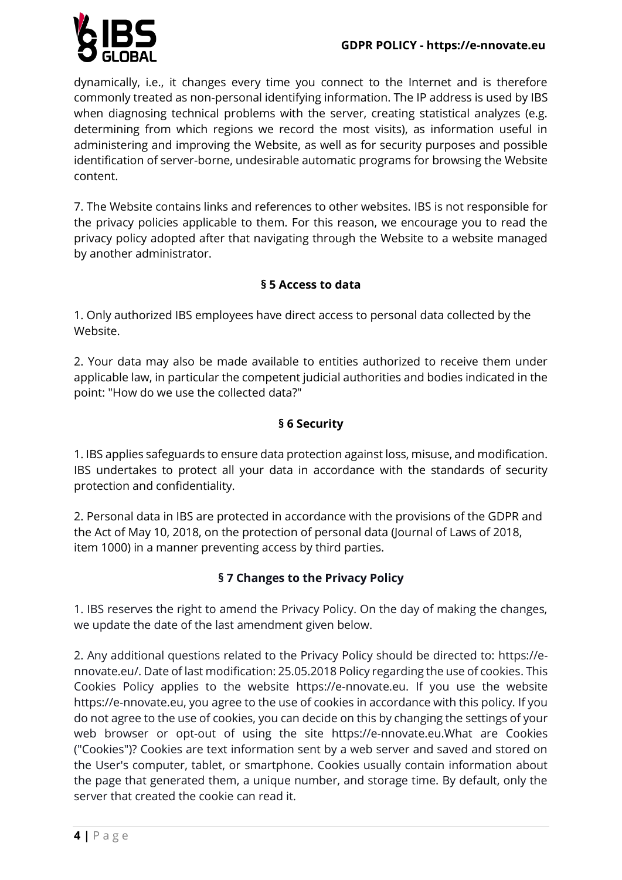

dynamically, i.e., it changes every time you connect to the Internet and is therefore commonly treated as non-personal identifying information. The IP address is used by IBS when diagnosing technical problems with the server, creating statistical analyzes (e.g. determining from which regions we record the most visits), as information useful in administering and improving the Website, as well as for security purposes and possible identification of server-borne, undesirable automatic programs for browsing the Website content.

7. The Website contains links and references to other websites. IBS is not responsible for the privacy policies applicable to them. For this reason, we encourage you to read the privacy policy adopted after that navigating through the Website to a website managed by another administrator.

## **§ 5 Access to data**

1. Only authorized IBS employees have direct access to personal data collected by the Website.

2. Your data may also be made available to entities authorized to receive them under applicable law, in particular the competent judicial authorities and bodies indicated in the point: "How do we use the collected data?"

#### **§ 6 Security**

1. IBS applies safeguards to ensure data protection against loss, misuse, and modification. IBS undertakes to protect all your data in accordance with the standards of security protection and confidentiality.

2. Personal data in IBS are protected in accordance with the provisions of the GDPR and the Act of May 10, 2018, on the protection of personal data (Journal of Laws of 2018, item 1000) in a manner preventing access by third parties.

# **§ 7 Changes to the Privacy Policy**

1. IBS reserves the right to amend the Privacy Policy. On the day of making the changes, we update the date of the last amendment given below.

2. Any additional questions related to the Privacy Policy should be directed to: https://ennovate.eu/. Date of last modification: 25.05.2018 Policy regarding the use of cookies. This Cookies Policy applies to the website https://e-nnovate.eu. If you use the website https://e-nnovate.eu, you agree to the use of cookies in accordance with this policy. If you do not agree to the use of cookies, you can decide on this by changing the settings of your web browser or opt-out of using the site https://e-nnovate.eu.What are Cookies ("Cookies")? Cookies are text information sent by a web server and saved and stored on the User's computer, tablet, or smartphone. Cookies usually contain information about the page that generated them, a unique number, and storage time. By default, only the server that created the cookie can read it.